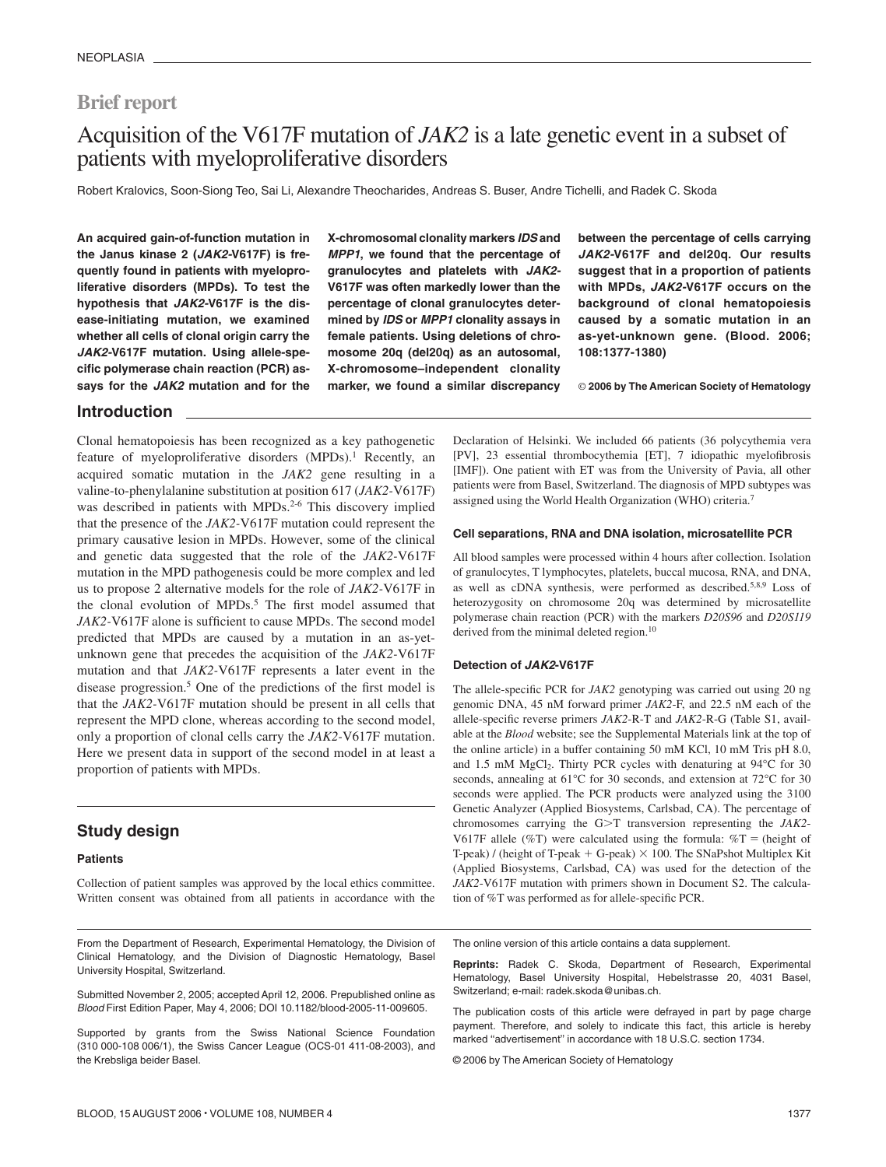## **Brief report**

# Acquisition of the V617F mutation of *JAK2* is a late genetic event in a subset of patients with myeloproliferative disorders

Robert Kralovics, Soon-Siong Teo, Sai Li, Alexandre Theocharides, Andreas S. Buser, Andre Tichelli, and Radek C. Skoda

**An acquired gain-of-function mutation in the Janus kinase 2 (***JAK2-***V617F) is frequently found in patients with myeloproliferative disorders (MPDs). To test the hypothesis that** *JAK2-***V617F is the disease-initiating mutation, we examined whether all cells of clonal origin carry the** *JAK2-***V617F mutation. Using allele-specific polymerase chain reaction (PCR) assays for the** *JAK2* **mutation and for the** **X-chromosomal clonality markers** *IDS* **and** *MPP1***, we found that the percentage of granulocytes and platelets with** *JAK2-* **V617F was often markedly lower than the percentage of clonal granulocytes determined by** *IDS* **or** *MPP1* **clonality assays in female patients. Using deletions of chromosome 20q (del20q) as an autosomal, X-chromosome–independent clonality marker, we found a similar discrepancy** **between the percentage of cells carrying** *JAK2-***V617F and del20q. Our results suggest that in a proportion of patients with MPDs,** *JAK2-***V617F occurs on the background of clonal hematopoiesis caused by a somatic mutation in an as-yet-unknown gene. (Blood. 2006; 108:1377-1380)**

© **2006 by The American Society of Hematology**

#### **Introduction**

Clonal hematopoiesis has been recognized as a key pathogenetic feature of myeloproliferative disorders (MPDs).<sup>1</sup> Recently, an acquired somatic mutation in the *JAK2* gene resulting in a valine-to-phenylalanine substitution at position 617 (*JAK2-*V617F) was described in patients with MPDs.<sup>2-6</sup> This discovery implied that the presence of the *JAK2-*V617F mutation could represent the primary causative lesion in MPDs. However, some of the clinical and genetic data suggested that the role of the *JAK2-*V617F mutation in the MPD pathogenesis could be more complex and led us to propose 2 alternative models for the role of *JAK2-*V617F in the clonal evolution of MPDs.<sup>5</sup> The first model assumed that *JAK2-*V617F alone is sufficient to cause MPDs. The second model predicted that MPDs are caused by a mutation in an as-yetunknown gene that precedes the acquisition of the *JAK2-*V617F mutation and that *JAK2-*V617F represents a later event in the disease progression.5 One of the predictions of the first model is that the *JAK2-*V617F mutation should be present in all cells that represent the MPD clone, whereas according to the second model, only a proportion of clonal cells carry the *JAK2-*V617F mutation. Here we present data in support of the second model in at least a proportion of patients with MPDs.

## **Study design**

#### **Patients**

Collection of patient samples was approved by the local ethics committee. Written consent was obtained from all patients in accordance with the

From the Department of Research, Experimental Hematology, the Division of Clinical Hematology, and the Division of Diagnostic Hematology, Basel University Hospital, Switzerland.

Submitted November 2, 2005; accepted April 12, 2006. Prepublished online as *Blood* First Edition Paper, May 4, 2006; DOI 10.1182/blood-2005-11-009605.

Supported by grants from the Swiss National Science Foundation (310 000-108 006/1), the Swiss Cancer League (OCS-01 411-08-2003), and the Krebsliga beider Basel.

Declaration of Helsinki. We included 66 patients (36 polycythemia vera [PV], 23 essential thrombocythemia [ET], 7 idiopathic myelofibrosis [IMF]). One patient with ET was from the University of Pavia, all other patients were from Basel, Switzerland. The diagnosis of MPD subtypes was assigned using the World Health Organization (WHO) criteria.7

#### **Cell separations, RNA and DNA isolation, microsatellite PCR**

All blood samples were processed within 4 hours after collection. Isolation of granulocytes, T lymphocytes, platelets, buccal mucosa, RNA, and DNA, as well as cDNA synthesis, were performed as described.5,8,9 Loss of heterozygosity on chromosome 20q was determined by microsatellite polymerase chain reaction (PCR) with the markers *D20S96* and *D20S119* derived from the minimal deleted region.<sup>10</sup>

#### **Detection of** *JAK2***-V617F**

The allele-specific PCR for *JAK2* genotyping was carried out using 20 ng genomic DNA, 45 nM forward primer *JAK2*-F, and 22.5 nM each of the allele-specific reverse primers *JAK2*-R-T and *JAK2*-R-G (Table S1, available at the *Blood* website; see the Supplemental Materials link at the top of the online article) in a buffer containing 50 mM KCl, 10 mM Tris pH 8.0, and 1.5 mM  $MgCl<sub>2</sub>$ . Thirty PCR cycles with denaturing at 94°C for 30 seconds, annealing at 61°C for 30 seconds, and extension at 72°C for 30 seconds were applied. The PCR products were analyzed using the 3100 Genetic Analyzer (Applied Biosystems, Carlsbad, CA). The percentage of chromosomes carrying the G>T transversion representing the *JAK2*-V617F allele (%T) were calculated using the formula:  $\%T =$  (height of T-peak) / (height of T-peak  $+$  G-peak)  $\times$  100. The SNaPshot Multiplex Kit (Applied Biosystems, Carlsbad, CA) was used for the detection of the *JAK2*-V617F mutation with primers shown in Document S2. The calculation of %T was performed as for allele-specific PCR.

The online version of this article contains a data supplement.

**Reprints:** Radek C. Skoda, Department of Research, Experimental Hematology, Basel University Hospital, Hebelstrasse 20, 4031 Basel, Switzerland; e-mail: radek.skoda@unibas.ch.

The publication costs of this article were defrayed in part by page charge payment. Therefore, and solely to indicate this fact, this article is hereby marked "advertisement" in accordance with 18 U.S.C. section 1734.

© 2006 by The American Society of Hematology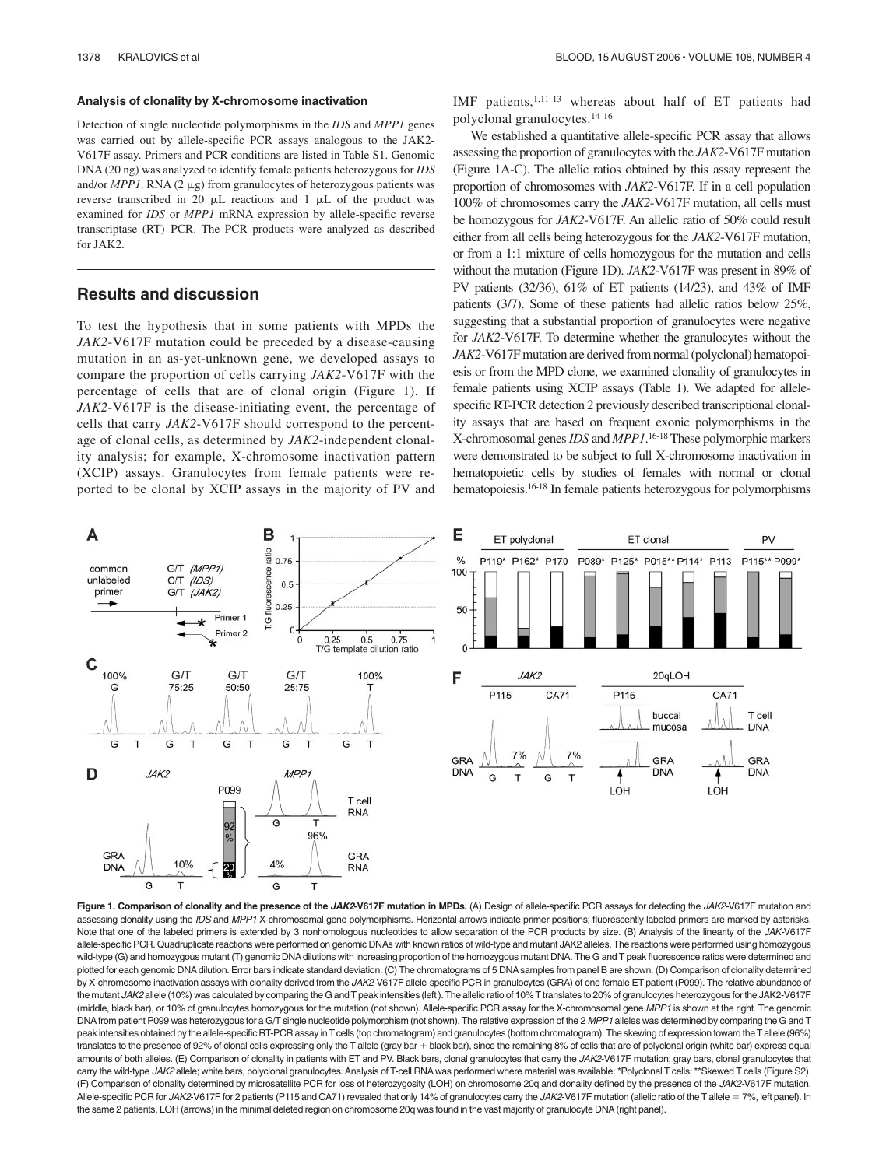#### **Analysis of clonality by X-chromosome inactivation**

Detection of single nucleotide polymorphisms in the *IDS* and *MPP1* genes was carried out by allele-specific PCR assays analogous to the JAK2- V617F assay. Primers and PCR conditions are listed in Table S1. Genomic DNA (20 ng) was analyzed to identify female patients heterozygous for *IDS* and/or  $MPPI$ . RNA (2  $\mu$ g) from granulocytes of heterozygous patients was reverse transcribed in 20  $\mu$ L reactions and 1  $\mu$ L of the product was examined for *IDS* or *MPP1* mRNA expression by allele-specific reverse transcriptase (RT)–PCR. The PCR products were analyzed as described for JAK2.

### **Results and discussion**

To test the hypothesis that in some patients with MPDs the *JAK2*-V617F mutation could be preceded by a disease-causing mutation in an as-yet-unknown gene, we developed assays to compare the proportion of cells carrying *JAK2*-V617F with the percentage of cells that are of clonal origin (Figure 1). If *JAK2*-V617F is the disease-initiating event, the percentage of cells that carry *JAK2*-V617F should correspond to the percentage of clonal cells, as determined by *JAK2*-independent clonality analysis; for example, X-chromosome inactivation pattern (XCIP) assays. Granulocytes from female patients were reported to be clonal by XCIP assays in the majority of PV and IMF patients,1,11-13 whereas about half of ET patients had polyclonal granulocytes.14-16

We established a quantitative allele-specific PCR assay that allows assessing the proportion of granulocytes with the *JAK2*-V617F mutation (Figure 1A-C). The allelic ratios obtained by this assay represent the proportion of chromosomes with *JAK2*-V617F. If in a cell population 100% of chromosomes carry the *JAK2*-V617F mutation, all cells must be homozygous for *JAK2*-V617F. An allelic ratio of 50% could result either from all cells being heterozygous for the *JAK2*-V617F mutation, or from a 1:1 mixture of cells homozygous for the mutation and cells without the mutation (Figure 1D). *JAK2*-V617F was present in 89% of PV patients (32/36), 61% of ET patients (14/23), and 43% of IMF patients (3/7). Some of these patients had allelic ratios below 25%, suggesting that a substantial proportion of granulocytes were negative for *JAK2*-V617F. To determine whether the granulocytes without the *JAK2*-V617F mutation are derived from normal (polyclonal) hematopoiesis or from the MPD clone, we examined clonality of granulocytes in female patients using XCIP assays (Table 1). We adapted for allelespecific RT-PCR detection 2 previously described transcriptional clonality assays that are based on frequent exonic polymorphisms in the X-chromosomal genes*IDS* and *MPP1*. 16-18 These polymorphic markers were demonstrated to be subject to full X-chromosome inactivation in hematopoietic cells by studies of females with normal or clonal hematopoiesis.16-18 In female patients heterozygous for polymorphisms





**Figure 1. Comparison of clonality and the presence of the** *JAK2***-V617F mutation in MPDs.** (A) Design of allele-specific PCR assays for detecting the *JAK2-*V617F mutation and assessing clonality using the *IDS* and *MPP1* X-chromosomal gene polymorphisms. Horizontal arrows indicate primer positions; fluorescently labeled primers are marked by asterisks. Note that one of the labeled primers is extended by 3 nonhomologous nucleotides to allow separation of the PCR products by size. (B) Analysis of the linearity of the *JAK-*V617F allele-specific PCR. Quadruplicate reactions were performed on genomic DNAs with known ratios of wild-type and mutant JAK2 alleles. The reactions were performed using homozygous wild-type (G) and homozygous mutant (T) genomic DNA dilutions with increasing proportion of the homozygous mutant DNA. The G and T peak fluorescence ratios were determined and plotted for each genomic DNA dilution. Error bars indicate standard deviation. (C) The chromatograms of 5 DNA samples from panel B are shown. (D) Comparison of clonality determined by X-chromosome inactivation assays with clonality derived from the *JAK2-*V617F allele-specific PCR in granulocytes (GRA) of one female ET patient (P099). The relative abundance of the mutant JAK2 allele (10%) was calculated by comparing the G and T peak intensities (left ). The allelic ratio of 10% T translates to 20% of granulocytes heterozygous for the JAK2-V617F (middle, black bar), or 10% of granulocytes homozygous for the mutation (not shown). Allele-specific PCR assay for the X-chromosomal gene *MPP1* is shown at the right. The genomic DNAfrom patient P099 was heterozygous for a G/T single nucleotide polymorphism (not shown). The relative expression of the 2 *MPP1* alleles was determined by comparing the G and T peak intensities obtained by the allele-specific RT-PCR assay in T cells (top chromatogram) and granulocytes (bottom chromatogram). The skewing of expression toward the T allele (96%) translates to the presence of 92% of clonal cells expressing only the T allele (gray bar + black bar), since the remaining 8% of cells that are of polyclonal origin (white bar) express equal amounts of both alleles. (E) Comparison of clonality in patients with ET and PV. Black bars, clonal granulocytes that carry the JAK2-V617F mutation; gray bars, clonal granulocytes that carry the wild-type JAK2 allele; white bars, polyclonal granulocytes. Analysis of T-cell RNA was performed where material was available: \*Polyclonal T cells; \*\*Skewed T cells (Figure S2). (F) Comparison of clonality determined by microsatellite PCR for loss of heterozygosity (LOH) on chromosome 20q and clonality defined by the presence of the *JAK2-*V617F mutation. Allele-specific PCR for JAK2-V617F for 2 patients (P115 and CA71) revealed that only 14% of granulocytes carry the JAK2-V617F mutation (allelic ratio of the T allele = 7%, left panel). In the same 2 patients, LOH (arrows) in the minimal deleted region on chromosome 20q was found in the vast majority of granulocyte DNA(right panel).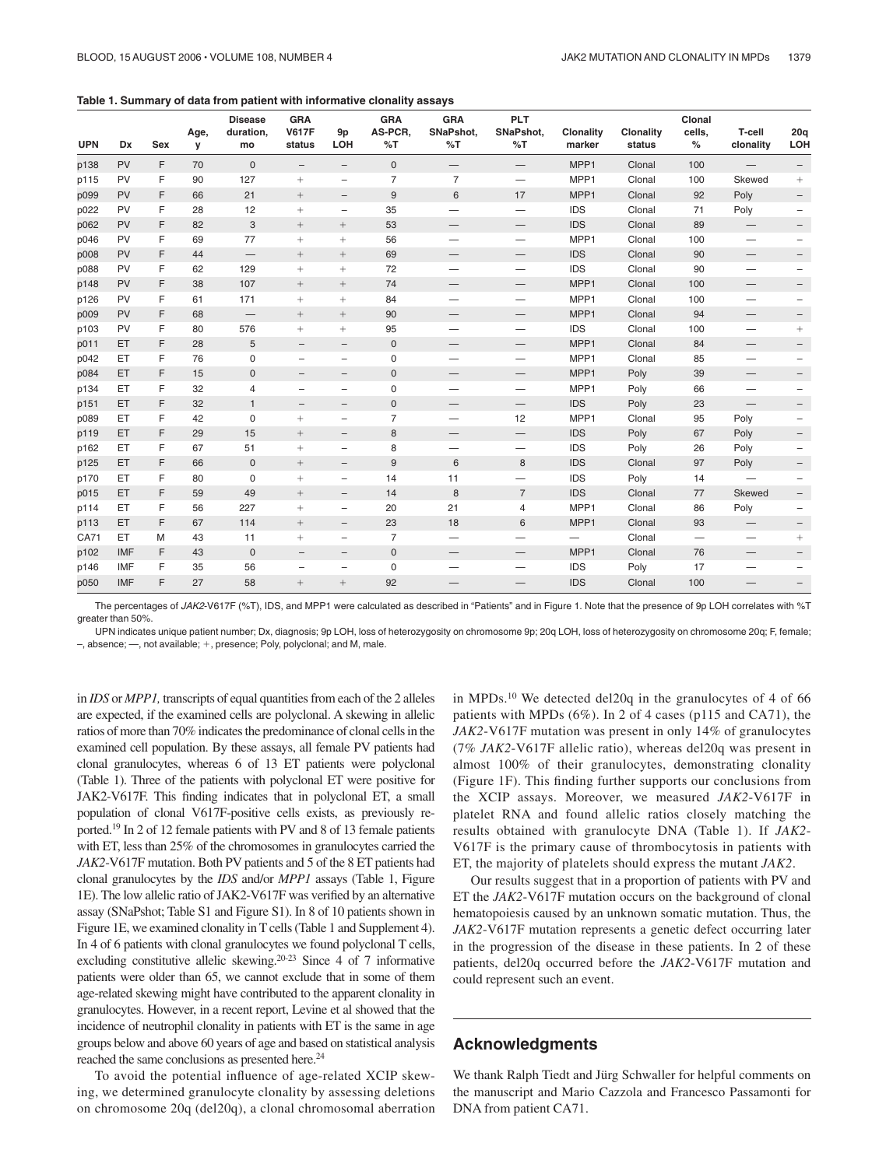|  |  |  |  |  | Table 1. Summary of data from patient with informative clonality assays |
|--|--|--|--|--|-------------------------------------------------------------------------|
|--|--|--|--|--|-------------------------------------------------------------------------|

| <b>UPN</b> | Dx         | Sex | Age,<br>У | <b>Disease</b><br>duration,<br>mo | <b>GRA</b><br><b>V617F</b><br>status | 9p<br>LOH                | <b>GRA</b><br>AS-PCR.<br>%T | <b>GRA</b><br>SNaPshot,<br>%T | <b>PLT</b><br>SNaPshot,<br>%T | <b>Clonality</b><br>marker | Clonality<br>status | Clonal<br>cells,<br>$\%$ | T-cell<br>clonality             | 20q<br>LOH |
|------------|------------|-----|-----------|-----------------------------------|--------------------------------------|--------------------------|-----------------------------|-------------------------------|-------------------------------|----------------------------|---------------------|--------------------------|---------------------------------|------------|
| p138       | <b>PV</b>  | F   | 70        | $\mathbf{0}$                      | $\qquad \qquad -$                    | $-$                      | $\mathbf 0$                 | $\qquad \qquad -$             | $\overline{\phantom{0}}$      | MPP1                       | Clonal              | 100                      |                                 |            |
| p115       | PV         | F   | 90        | 127                               | $+$                                  | $\overline{\phantom{0}}$ | $\overline{7}$              | $\overline{7}$                | $\overline{\phantom{0}}$      | MPP1                       | Clonal              | 100                      | Skewed                          | $+$        |
| p099       | PV         | F   | 66        | 21                                | $^{+}$                               | $\overline{\phantom{a}}$ | $9\,$                       | 6                             | 17                            | MPP1                       | Clonal              | 92                       | Poly                            |            |
| p022       | PV         | F   | 28        | 12                                | $+$                                  | $\overline{a}$           | 35                          | $\overline{\phantom{0}}$      | $\equiv$                      | <b>IDS</b>                 | Clonal              | 71                       | Poly                            |            |
| p062       | PV         | F   | 82        | 3                                 | $\! + \!\!\!\!$                      | $+$                      | 53                          | $\overline{\phantom{0}}$      | $\qquad \qquad -$             | <b>IDS</b>                 | Clonal              | 89                       | $\qquad \qquad -$               |            |
| p046       | PV         | F   | 69        | 77                                | $+$                                  | $\boldsymbol{+}$         | 56                          |                               |                               | MPP1                       | Clonal              | 100                      | $\overline{\phantom{0}}$        |            |
| p008       | PV         | F   | 44        | $\overline{\phantom{0}}$          | $^{+}$                               |                          | 69                          | $\qquad \qquad$               | $\qquad \qquad -$             | <b>IDS</b>                 | Clonal              | 90                       | $\overbrace{\phantom{12333}}$   |            |
| p088       | PV         | F   | 62        | 129                               | $+$                                  | $+$                      | 72                          |                               | $\overline{\phantom{0}}$      | <b>IDS</b>                 | Clonal              | 90                       | $\overline{\phantom{0}}$        |            |
| p148       | PV         | F   | 38        | 107                               | $^{+}$                               | $+$                      | 74                          | $\overline{\phantom{0}}$      | $\overline{\phantom{0}}$      | MPP1                       | Clonal              | 100                      |                                 |            |
| p126       | PV         | F   | 61        | 171                               | $+$                                  | $+$                      | 84                          | $\overline{\phantom{0}}$      | $\overline{\phantom{0}}$      | MPP1                       | Clonal              | 100                      | $\overline{\phantom{0}}$        |            |
| p009       | PV         | F   | 68        | $\overline{\phantom{m}}$          | $^{+}$                               | $+$                      | 90                          |                               |                               | MPP1                       | Clonal              | 94                       |                                 |            |
| p103       | PV         | F   | 80        | 576                               | $+$                                  | $\boldsymbol{+}$         | 95                          |                               | $\qquad \qquad$               | <b>IDS</b>                 | Clonal              | 100                      |                                 | $^{+}$     |
| p011       | ET         | F   | 28        | 5                                 | $\overline{\phantom{m}}$             | $\overline{\phantom{0}}$ | $\mathbf 0$                 | $\qquad \qquad -$             | $\qquad \qquad -$             | MPP1                       | Clonal              | 84                       | $\qquad \qquad -$               |            |
| p042       | ET.        | F   | 76        | 0                                 | $\overline{a}$                       | $\overline{\phantom{0}}$ | 0                           |                               |                               | MPP1                       | Clonal              | 85                       |                                 |            |
| p084       | ET         | F   | 15        | $\mathbf{0}$                      | $\overline{\phantom{0}}$             | $\overline{\phantom{0}}$ | $\mathbf 0$                 |                               | $\qquad \qquad -$             | MPP1                       | Poly                | 39                       |                                 |            |
| p134       | ET         | E   | 32        | $\overline{4}$                    | $\overline{\phantom{0}}$             | $\overline{\phantom{0}}$ | $\mathsf 0$                 |                               |                               | MPP1                       | Poly                | 66                       | $\overline{\phantom{0}}$        |            |
| p151       | ET.        | F   | 32        | $\mathbf{1}$                      | $\overline{\phantom{m}}$             | $\qquad \qquad -$        | $\mathbf 0$                 |                               | $\qquad \qquad -$             | <b>IDS</b>                 | Poly                | 23                       |                                 |            |
| p089       | ET         | F   | 42        | 0                                 | $+$                                  | $\overline{\phantom{0}}$ | $\overline{7}$              | $\equiv$                      | 12                            | MPP1                       | Clonal              | 95                       | Poly                            |            |
| p119       | ET         | F   | 29        | 15                                | $\qquad \qquad +$                    | $\overline{\phantom{0}}$ | 8                           | $\qquad \qquad -$             | $\overline{\phantom{0}}$      | <b>IDS</b>                 | Poly                | 67                       | Poly                            |            |
| p162       | ET         | F   | 67        | 51                                | $+$                                  | $\overline{\phantom{0}}$ | 8                           |                               | $\equiv$                      | <b>IDS</b>                 | Poly                | 26                       | Poly                            |            |
| p125       | ET         | F   | 66        | 0                                 | $^{+}$                               | $\overline{\phantom{a}}$ | 9                           | 6                             | 8                             | <b>IDS</b>                 | Clonal              | 97                       | Poly                            |            |
| p170       | ET         | F   | 80        | $\mathbf 0$                       | $+$                                  | $\qquad \qquad -$        | 14                          | 11                            |                               | <b>IDS</b>                 | Poly                | 14                       |                                 |            |
| p015       | ET         | F   | 59        | 49                                | $^{+}$                               |                          | 14                          | 8                             | $\overline{7}$                | <b>IDS</b>                 | Clonal              | 77                       | Skewed                          |            |
| p114       | ET.        | F   | 56        | 227                               | $+$                                  | $\overline{\phantom{0}}$ | 20                          | 21                            | $\overline{4}$                | MPP1                       | Clonal              | 86                       | Poly                            |            |
| p113       | ET         | F   | 67        | 114                               | $^{+}$                               | $\overline{\phantom{0}}$ | 23                          | 18                            | 6                             | MPP1                       | Clonal              | 93                       | $\overline{\phantom{m}}$        |            |
| CA71       | ET.        | M   | 43        | 11                                | $+$                                  | $\overline{\phantom{0}}$ | $\overline{7}$              |                               | $\overline{\phantom{0}}$      |                            | Clonal              |                          | $\overline{\phantom{0}}$        | $+$        |
| p102       | <b>IMF</b> | F   | 43        | $\mathbf 0$                       | $\overline{\phantom{m}}$             | $\overline{\phantom{a}}$ | $\mathbf 0$                 | $\qquad \qquad -$             | $\overline{\phantom{m}}$      | MPP1                       | Clonal              | 76                       | $\hspace{0.1mm}-\hspace{0.1mm}$ |            |
| p146       | <b>IMF</b> | F   | 35        | 56                                | $\overline{\phantom{0}}$             | $\overline{\phantom{0}}$ | $\mathsf 0$                 |                               | $\overline{\phantom{0}}$      | <b>IDS</b>                 | Poly                | 17                       |                                 |            |
| p050       | <b>IMF</b> | F   | 27        | 58                                | $^{+}$                               | $+$                      | 92                          |                               | $\overline{\phantom{0}}$      | <b>IDS</b>                 | Clonal              | 100                      |                                 |            |

The percentages of JAK2-V617F (%T), IDS, and MPP1 were calculated as described in "Patients" and in Figure 1. Note that the presence of 9p LOH correlates with %T greater than 50%.

UPN indicates unique patient number; Dx, diagnosis; 9p LOH, loss of heterozygosity on chromosome 9p; 20q LOH, loss of heterozygosity on chromosome 20q; F, female; -, absence; -, not available; +, presence; Poly, polyclonal; and M, male.

in *IDS* or *MPP1,* transcripts of equal quantities from each of the 2 alleles are expected, if the examined cells are polyclonal. A skewing in allelic ratios of more than 70% indicates the predominance of clonal cells in the examined cell population. By these assays, all female PV patients had clonal granulocytes, whereas 6 of 13 ET patients were polyclonal (Table 1). Three of the patients with polyclonal ET were positive for JAK2-V617F. This finding indicates that in polyclonal ET, a small population of clonal V617F-positive cells exists, as previously reported.19 In 2 of 12 female patients with PV and 8 of 13 female patients with ET, less than 25% of the chromosomes in granulocytes carried the *JAK2*-V617F mutation. Both PV patients and 5 of the 8 ET patients had clonal granulocytes by the *IDS* and/or *MPP1* assays (Table 1, Figure 1E). The low allelic ratio of JAK2-V617F was verified by an alternative assay (SNaPshot; Table S1 and Figure S1). In 8 of 10 patients shown in Figure 1E, we examined clonality in T cells (Table 1 and Supplement 4). In 4 of 6 patients with clonal granulocytes we found polyclonal T cells, excluding constitutive allelic skewing.20-23 Since 4 of 7 informative patients were older than 65, we cannot exclude that in some of them age-related skewing might have contributed to the apparent clonality in granulocytes. However, in a recent report, Levine et al showed that the incidence of neutrophil clonality in patients with ET is the same in age groups below and above 60 years of age and based on statistical analysis reached the same conclusions as presented here.24

To avoid the potential influence of age-related XCIP skewing, we determined granulocyte clonality by assessing deletions on chromosome 20q (del20q), a clonal chromosomal aberration in MPDs.<sup>10</sup> We detected del20q in the granulocytes of 4 of 66 patients with MPDs (6%). In 2 of 4 cases (p115 and CA71), the *JAK2*-V617F mutation was present in only 14% of granulocytes (7% *JAK2*-V617F allelic ratio), whereas del20q was present in almost 100% of their granulocytes, demonstrating clonality (Figure 1F). This finding further supports our conclusions from the XCIP assays. Moreover, we measured *JAK2*-V617F in platelet RNA and found allelic ratios closely matching the results obtained with granulocyte DNA (Table 1). If *JAK2*- V617F is the primary cause of thrombocytosis in patients with ET, the majority of platelets should express the mutant *JAK2*.

Our results suggest that in a proportion of patients with PV and ET the *JAK2*-V617F mutation occurs on the background of clonal hematopoiesis caused by an unknown somatic mutation. Thus, the *JAK2*-V617F mutation represents a genetic defect occurring later in the progression of the disease in these patients. In 2 of these patients, del20q occurred before the *JAK2*-V617F mutation and could represent such an event.

#### **Acknowledgments**

We thank Ralph Tiedt and Jürg Schwaller for helpful comments on the manuscript and Mario Cazzola and Francesco Passamonti for DNA from patient CA71.